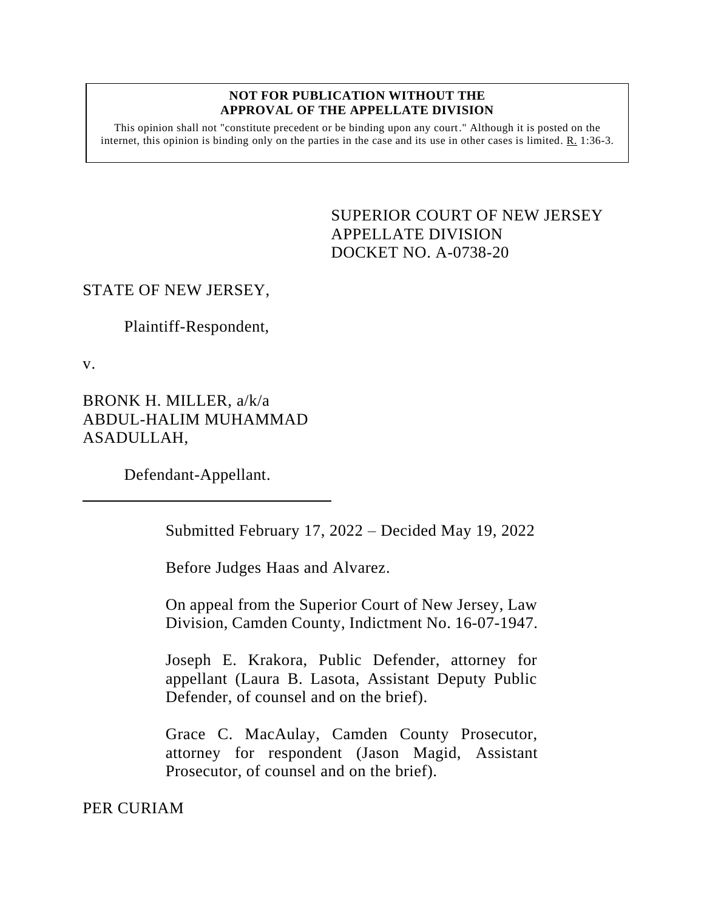#### **NOT FOR PUBLICATION WITHOUT THE APPROVAL OF THE APPELLATE DIVISION**

This opinion shall not "constitute precedent or be binding upon any court." Although it is posted on the internet, this opinion is binding only on the parties in the case and its use in other cases is limited. R. 1:36-3.

> <span id="page-0-0"></span>SUPERIOR COURT OF NEW JERSEY APPELLATE DIVISION DOCKET NO. A-0738-20

# STATE OF NEW JERSEY,

Plaintiff-Respondent,

v.

BRONK H. MILLER, a/k/a ABDUL-HALIM MUHAMMAD ASADULLAH,

Defendant-Appellant.

Submitted February 17, 2022 – Decided May 19, 2022

Before Judges Haas and Alvarez.

On appeal from the Superior Court of New Jersey, Law Division, Camden County, Indictment No. 16-07-1947.

Joseph E. Krakora, Public Defender, attorney for appellant (Laura B. Lasota, Assistant Deputy Public Defender, of counsel and on the brief).

Grace C. MacAulay, Camden County Prosecutor, attorney for respondent (Jason Magid, Assistant Prosecutor, of counsel and on the brief).

PER CURIAM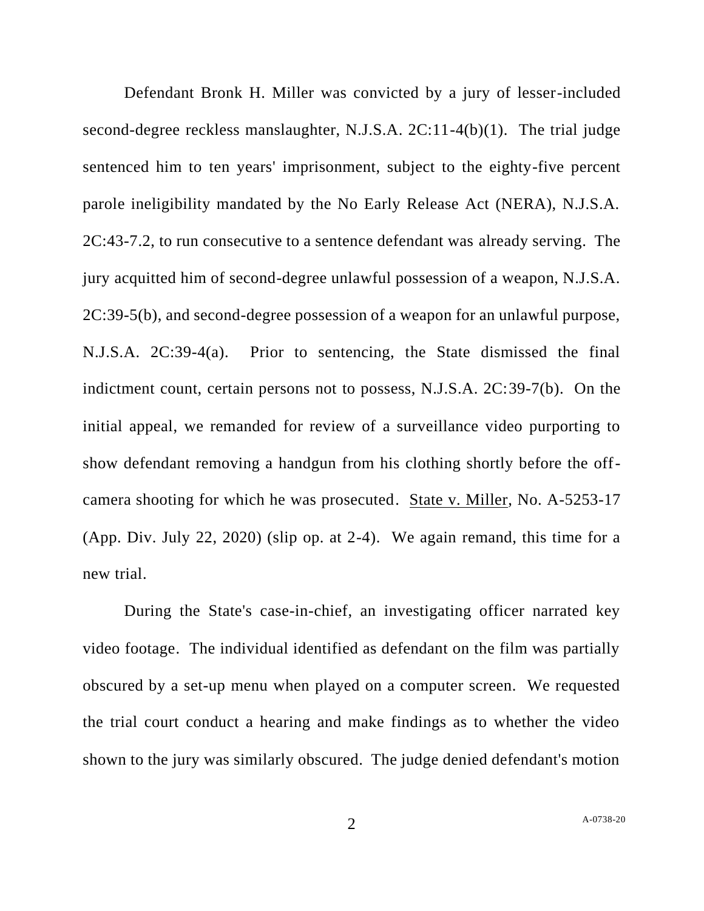Defendant Bronk H. Miller was convicted by a jury of lesser-included second-degree reckless manslaughter, N.J.S.A. 2C:11-4(b)(1). The trial judge sentenced him to ten years' imprisonment, subject to the eighty-five percent parole ineligibility mandated by the No Early Release Act (NERA), N.J.S.A. 2C:43-7.2, to run consecutive to a sentence defendant was already serving. The jury acquitted him of second-degree unlawful possession of a weapon, N.J.S.A. 2C:39-5(b), and second-degree possession of a weapon for an unlawful purpose, N.J.S.A. 2C:39-4(a). Prior to sentencing, the State dismissed the final indictment count, certain persons not to possess, N.J.S.A. 2C:39-7(b). On the initial appeal, we remanded for review of a surveillance video purporting to show defendant removing a handgun from his clothing shortly before the offcamera shooting for which he was prosecuted. State v. Miller, No. A-5253-17 (App. Div. July 22, 2020) (slip op. at 2-4). We again remand, this time for a new trial.

During the State's case-in-chief, an investigating officer narrated key video footage. The individual identified as defendant on the film was partially obscured by a set-up menu when played on a computer screen. We requested the trial court conduct a hearing and make findings as to whether the video shown to the jury was similarly obscured. The judge denied defendant's motion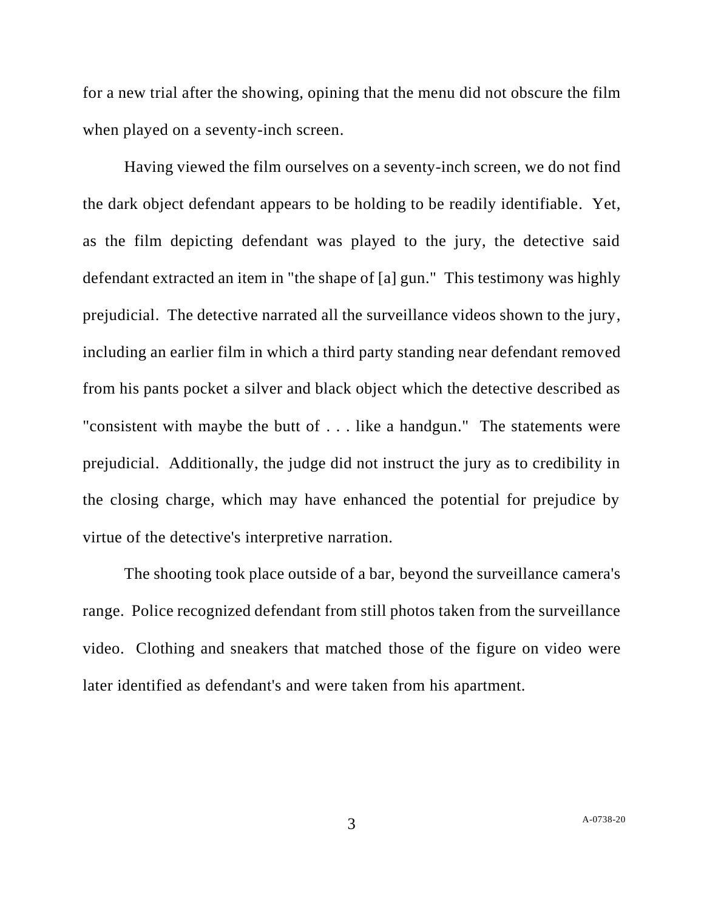for a new trial after the showing, opining that the menu did not obscure the film when played on a seventy-inch screen.

Having viewed the film ourselves on a seventy-inch screen, we do not find the dark object defendant appears to be holding to be readily identifiable. Yet, as the film depicting defendant was played to the jury, the detective said defendant extracted an item in "the shape of [a] gun." This testimony was highly prejudicial. The detective narrated all the surveillance videos shown to the jury, including an earlier film in which a third party standing near defendant removed from his pants pocket a silver and black object which the detective described as "consistent with maybe the butt of . . . like a handgun." The statements were prejudicial. Additionally, the judge did not instruct the jury as to credibility in the closing charge, which may have enhanced the potential for prejudice by virtue of the detective's interpretive narration.

The shooting took place outside of a bar, beyond the surveillance camera's range. Police recognized defendant from still photos taken from the surveillance video. Clothing and sneakers that matched those of the figure on video were later identified as defendant's and were taken from his apartment.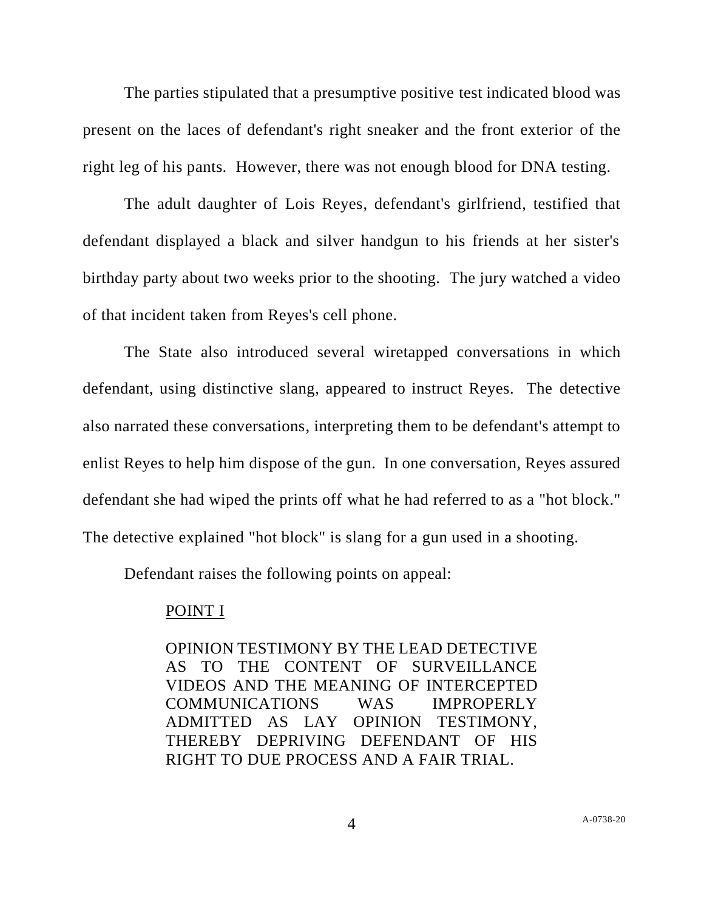The parties stipulated that a presumptive positive test indicated blood was present on the laces of defendant's right sneaker and the front exterior of the right leg of his pants. However, there was not enough blood for DNA testing.

The adult daughter of Lois Reyes, defendant's girlfriend, testified that defendant displayed a black and silver handgun to his friends at her sister's birthday party about two weeks prior to the shooting. The jury watched a video of that incident taken from Reyes's cell phone.

The State also introduced several wiretapped conversations in which defendant, using distinctive slang, appeared to instruct Reyes. The detective also narrated these conversations, interpreting them to be defendant's attempt to enlist Reyes to help him dispose of the gun. In one conversation, Reyes assured defendant she had wiped the prints off what he had referred to as a "hot block." The detective explained "hot block" is slang for a gun used in a shooting.

Defendant raises the following points on appeal:

## POINT I

OPINION TESTIMONY BY THE LEAD DETECTIVE AS TO THE CONTENT OF SURVEILLANCE VIDEOS AND THE MEANING OF INTERCEPTED COMMUNICATIONS WAS IMPROPERLY ADMITTED AS LAY OPINION TESTIMONY, THEREBY DEPRIVING DEFENDANT OF HIS RIGHT TO DUE PROCESS AND A FAIR TRIAL.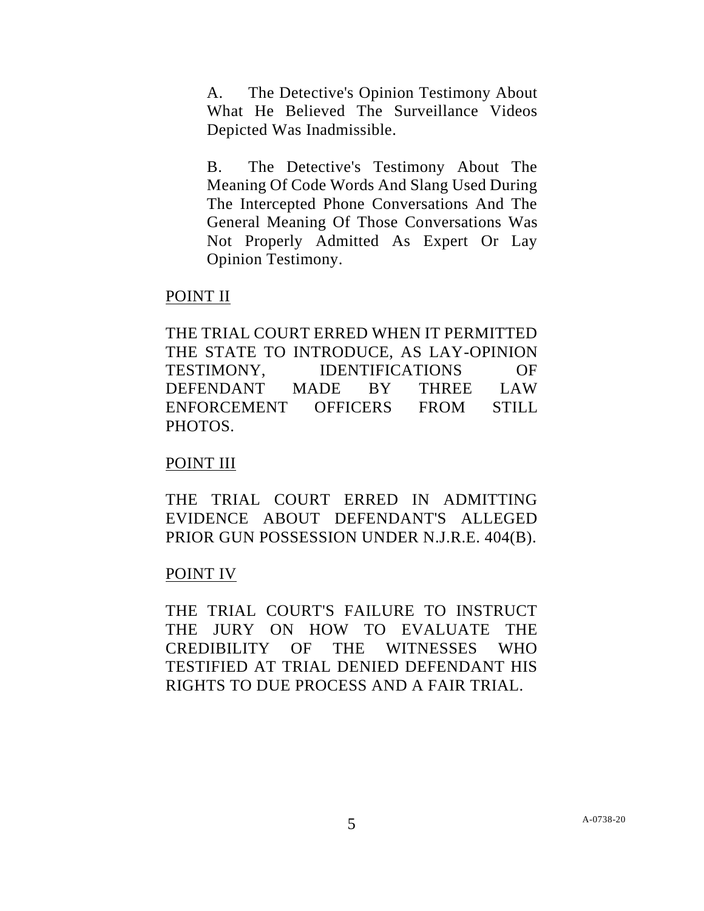A. The Detective's Opinion Testimony About What He Believed The Surveillance Videos Depicted Was Inadmissible.

B. The Detective's Testimony About The Meaning Of Code Words And Slang Used During The Intercepted Phone Conversations And The General Meaning Of Those Conversations Was Not Properly Admitted As Expert Or Lay Opinion Testimony.

## POINT II

THE TRIAL COURT ERRED WHEN IT PERMITTED THE STATE TO INTRODUCE, AS LAY-OPINION TESTIMONY, IDENTIFICATIONS OF DEFENDANT MADE BY THREE LAW ENFORCEMENT OFFICERS FROM STILL PHOTOS.

# POINT III

THE TRIAL COURT ERRED IN ADMITTING EVIDENCE ABOUT DEFENDANT'S ALLEGED PRIOR GUN POSSESSION UNDER N.J.R.E. 404(B).

# POINT IV

THE TRIAL COURT'S FAILURE TO INSTRUCT THE JURY ON HOW TO EVALUATE THE CREDIBILITY OF THE WITNESSES WHO TESTIFIED AT TRIAL DENIED DEFENDANT HIS RIGHTS TO DUE PROCESS AND A FAIR TRIAL.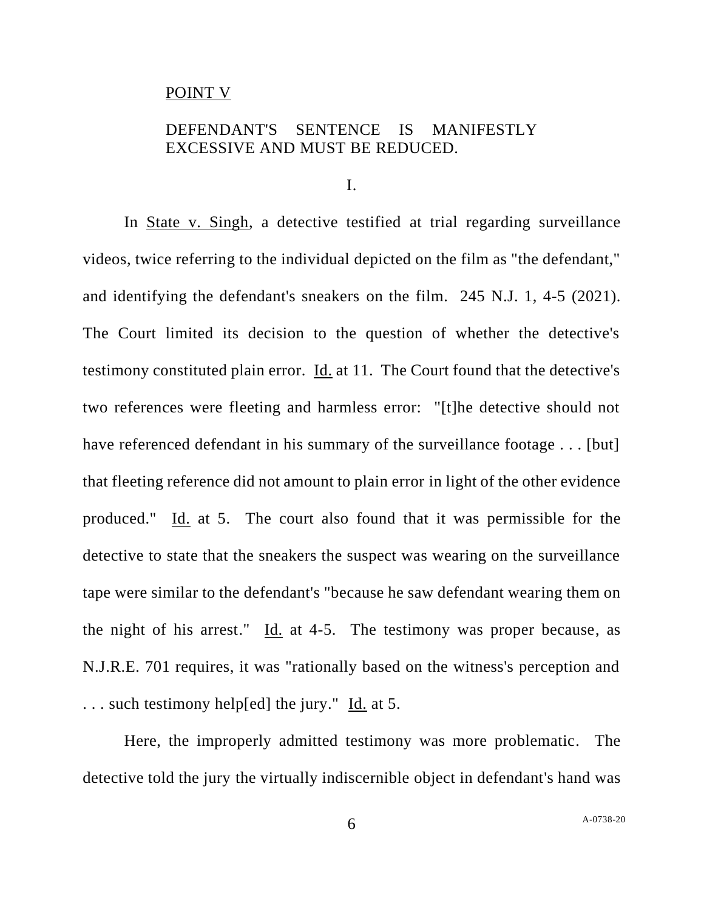#### POINT V

# DEFENDANT'S SENTENCE IS MANIFESTLY EXCESSIVE AND MUST BE REDUCED.

I.

In State v. Singh, a detective testified at trial regarding surveillance videos, twice referring to the individual depicted on the film as "the defendant," and identifying the defendant's sneakers on the film. 245 N.J. 1, 4-5 (2021). The Court limited its decision to the question of whether the detective's testimony constituted plain error. Id. at 11. The Court found that the detective's two references were fleeting and harmless error: "[t]he detective should not have referenced defendant in his summary of the surveillance footage . . . [but] that fleeting reference did not amount to plain error in light of the other evidence produced." Id. at 5. The court also found that it was permissible for the detective to state that the sneakers the suspect was wearing on the surveillance tape were similar to the defendant's "because he saw defendant wearing them on the night of his arrest." Id. at 4-5. The testimony was proper because, as N.J.R.E. 701 requires, it was "rationally based on the witness's perception and . . . such testimony help[ed] the jury." Id. at 5.

Here, the improperly admitted testimony was more problematic. The detective told the jury the virtually indiscernible object in defendant's hand was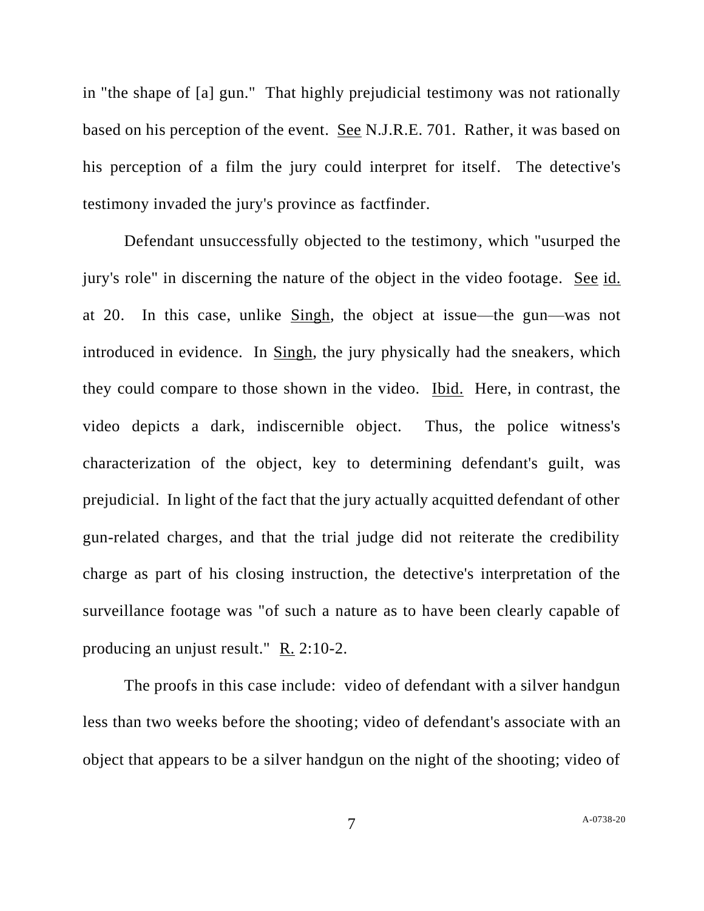in "the shape of [a] gun." That highly prejudicial testimony was not rationally based on his perception of the event. See N.J.R.E. 701. Rather, it was based on his perception of a film the jury could interpret for itself. The detective's testimony invaded the jury's province as factfinder.

Defendant unsuccessfully objected to the testimony, which "usurped the jury's role" in discerning the nature of the object in the video footage. See id. at 20. In this case, unlike Singh, the object at issue—the gun—was not introduced in evidence. In Singh, the jury physically had the sneakers, which they could compare to those shown in the video. Ibid. Here, in contrast, the video depicts a dark, indiscernible object. Thus, the police witness's characterization of the object, key to determining defendant's guilt, was prejudicial. In light of the fact that the jury actually acquitted defendant of other gun-related charges, and that the trial judge did not reiterate the credibility charge as part of his closing instruction, the detective's interpretation of the surveillance footage was "of such a nature as to have been clearly capable of producing an unjust result." R. 2:10-2.

The proofs in this case include: video of defendant with a silver handgun less than two weeks before the shooting; video of defendant's associate with an object that appears to be a silver handgun on the night of the shooting; video of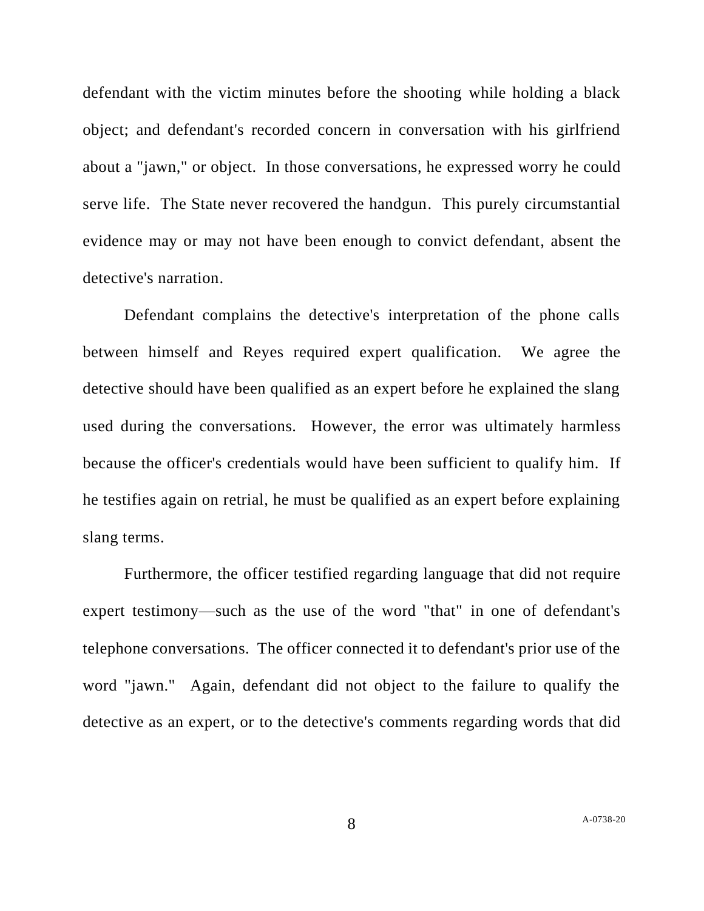defendant with the victim minutes before the shooting while holding a black object; and defendant's recorded concern in conversation with his girlfriend about a "jawn," or object. In those conversations, he expressed worry he could serve life. The State never recovered the handgun. This purely circumstantial evidence may or may not have been enough to convict defendant, absent the detective's narration.

Defendant complains the detective's interpretation of the phone calls between himself and Reyes required expert qualification. We agree the detective should have been qualified as an expert before he explained the slang used during the conversations. However, the error was ultimately harmless because the officer's credentials would have been sufficient to qualify him. If he testifies again on retrial, he must be qualified as an expert before explaining slang terms.

Furthermore, the officer testified regarding language that did not require expert testimony—such as the use of the word "that" in one of defendant's telephone conversations. The officer connected it to defendant's prior use of the word "jawn." Again, defendant did not object to the failure to qualify the detective as an expert, or to the detective's comments regarding words that did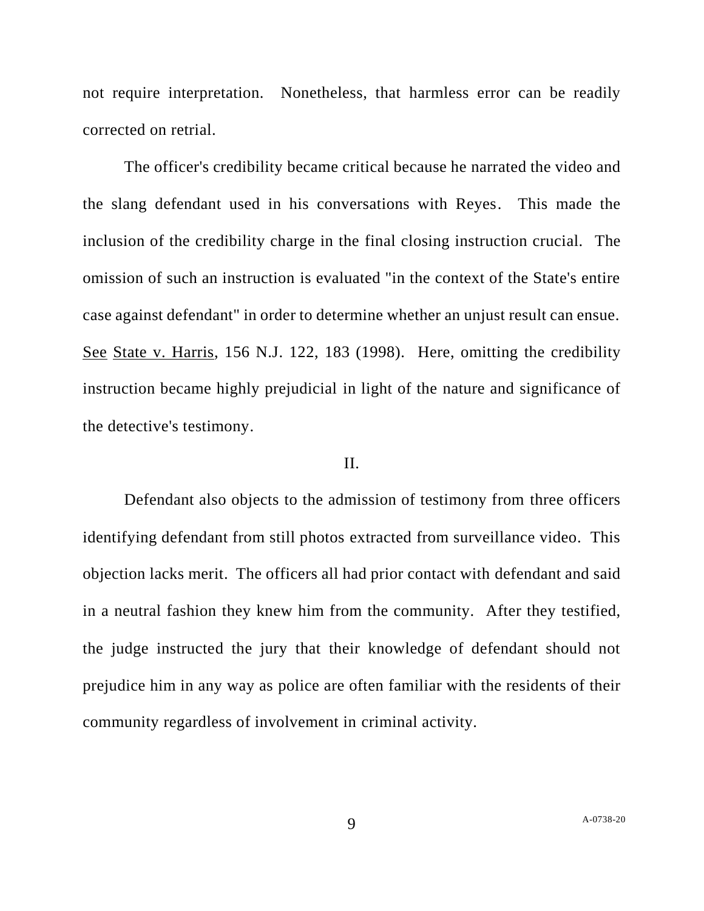not require interpretation. Nonetheless, that harmless error can be readily corrected on retrial.

The officer's credibility became critical because he narrated the video and the slang defendant used in his conversations with Reyes. This made the inclusion of the credibility charge in the final closing instruction crucial. The omission of such an instruction is evaluated "in the context of the State's entire case against defendant" in order to determine whether an unjust result can ensue. See State v. Harris, 156 N.J. 122, 183 (1998). Here, omitting the credibility instruction became highly prejudicial in light of the nature and significance of the detective's testimony.

## II.

Defendant also objects to the admission of testimony from three officers identifying defendant from still photos extracted from surveillance video. This objection lacks merit. The officers all had prior contact with defendant and said in a neutral fashion they knew him from the community. After they testified, the judge instructed the jury that their knowledge of defendant should not prejudice him in any way as police are often familiar with the residents of their community regardless of involvement in criminal activity.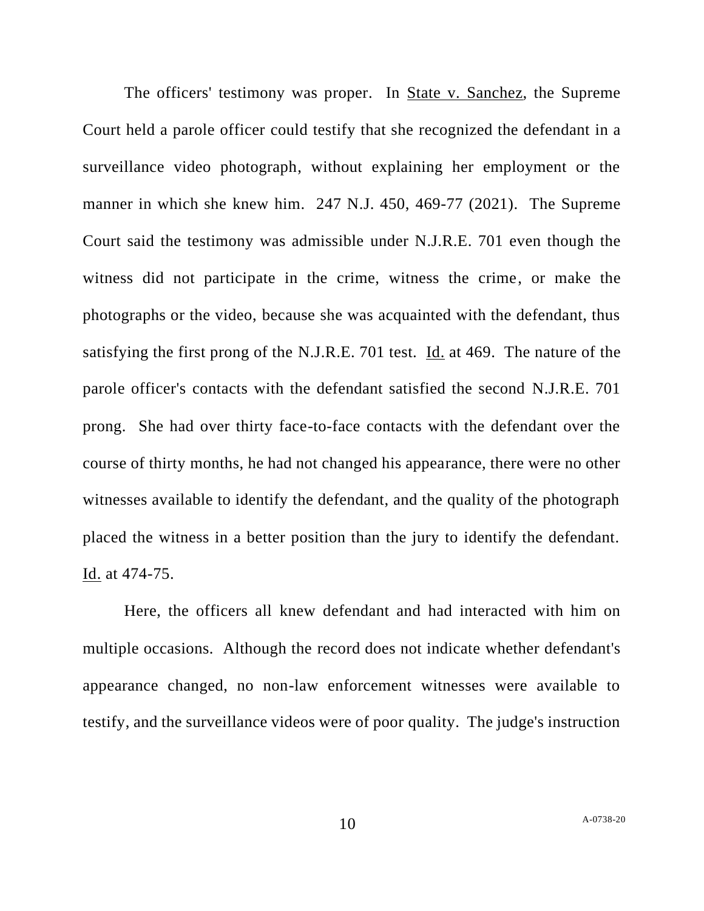The officers' testimony was proper. In State v. Sanchez, the Supreme Court held a parole officer could testify that she recognized the defendant in a surveillance video photograph, without explaining her employment or the manner in which she knew him. 247 N.J. 450, 469-77 (2021). The Supreme Court said the testimony was admissible under N.J.R.E. 701 even though the witness did not participate in the crime, witness the crime, or make the photographs or the video, because she was acquainted with the defendant, thus satisfying the first prong of the N.J.R.E. 701 test. Id. at 469. The nature of the parole officer's contacts with the defendant satisfied the second N.J.R.E. 701 prong. She had over thirty face-to-face contacts with the defendant over the course of thirty months, he had not changed his appearance, there were no other witnesses available to identify the defendant, and the quality of the photograph placed the witness in a better position than the jury to identify the defendant. Id. at 474-75.

Here, the officers all knew defendant and had interacted with him on multiple occasions. Although the record does not indicate whether defendant's appearance changed, no non-law enforcement witnesses were available to testify, and the surveillance videos were of poor quality. The judge's instruction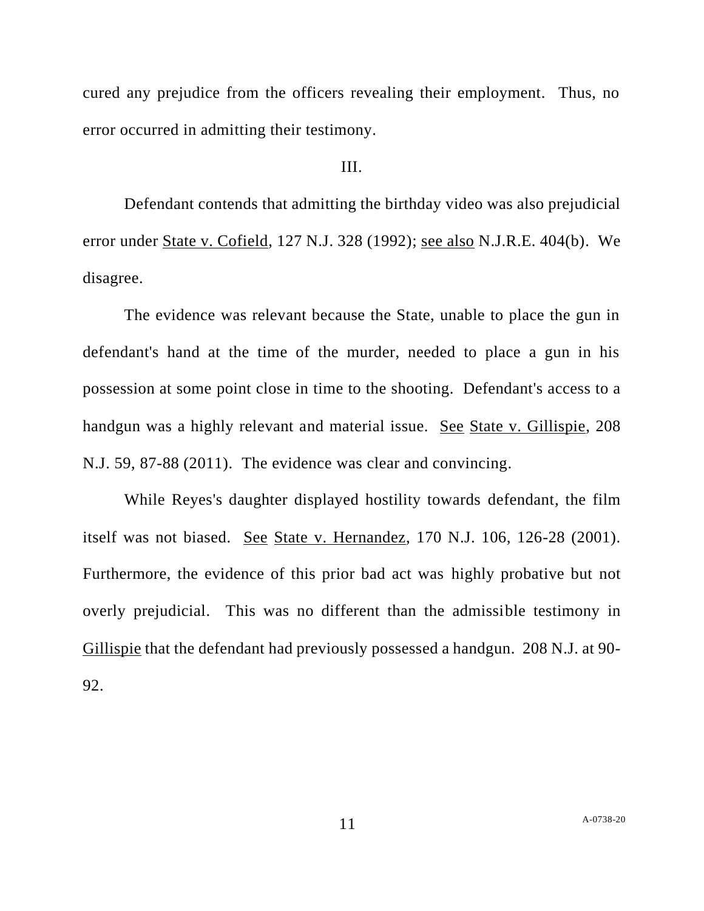cured any prejudice from the officers revealing their employment. Thus, no error occurred in admitting their testimony.

# III.

Defendant contends that admitting the birthday video was also prejudicial error under State v. Cofield, 127 N.J. 328 (1992); see also N.J.R.E. 404(b). We disagree.

The evidence was relevant because the State, unable to place the gun in defendant's hand at the time of the murder, needed to place a gun in his possession at some point close in time to the shooting. Defendant's access to a handgun was a highly relevant and material issue. See State v. Gillispie, 208 N.J. 59, 87-88 (2011). The evidence was clear and convincing.

While Reyes's daughter displayed hostility towards defendant, the film itself was not biased. See State v. Hernandez, 170 N.J. 106, 126-28 (2001). Furthermore, the evidence of this prior bad act was highly probative but not overly prejudicial. This was no different than the admissible testimony in Gillispie that the defendant had previously possessed a handgun. 208 N.J. at 90- 92.